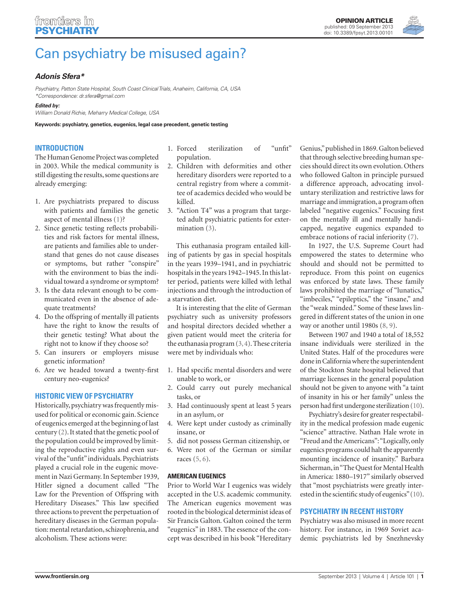

# [Can psychiatry be misused again?](http://www.frontiersin.org/Forensic_Psychiatry/10.3389/fpsyt.2013.00101/full)

# *[Adonis Sfera\\*](http://www.frontiersin.org/Community/WhosWhoActivity.aspx?sname=AdonisSfera&UID=54993)*

*Psychiatry, Patton State Hospital, South Coast Clinical Trials, Anaheim, California, CA, USA \*Correspondence: [dr.sfera@gmail.com](mailto:dr.sfera@gmail.com)*

*Edited by:*

*William Donald Richie, Meharry Medical College, USA*

**Keywords: psychiatry, genetics, eugenics, legal case precedent, genetic testing**

### **Introduction**

The Human Genome Project was completed in 2003. While the medical community is still digesting the results, some questions are already emerging:

- 1. Are psychiatrists prepared to discuss with patients and families the genetic aspect of mental illness [\(1\)?](#page-1-0)
- 2. Since genetic testing reflects probabilities and risk factors for mental illness, are patients and families able to understand that genes do not cause diseases or symptoms, but rather "conspire" with the environment to bias the individual toward a syndrome or symptom?
- 3. Is the data relevant enough to be communicated even in the absence of adequate treatments?
- 4. Do the offspring of mentally ill patients have the right to know the results of their genetic testing? What about the right not to know if they choose so?
- 5. Can insurers or employers misuse genetic information?
- 6. Are we headed toward a twenty-first century neo-eugenics?

#### **Historic View of Psychiatry**

Historically, psychiatry was frequently misused for political or economic gain. Science of eugenics emerged at the beginning of last century [\(2\)](#page-1-0). It stated that the genetic pool of the population could be improved by limiting the reproductive rights and even survival of the "unfit" individuals. Psychiatrists played a crucial role in the eugenic movement in Nazi Germany. In September 1939, Hitler signed a document called "The Law for the Prevention of Offspring with Hereditary Diseases." This law specified three actions to prevent the perpetuation of hereditary diseases in the German population: mental retardation, schizophrenia, and alcoholism. These actions were:

- 1. Forced sterilization of "unfit" population.
- 2. Children with deformities and other hereditary disorders were reported to a central registry from where a committee of academics decided who would be killed.
- 3. "Action T4" was a program that targeted adult psychiatric patients for extermination [\(3\)](#page-1-0).

This euthanasia program entailed killing of patients by gas in special hospitals in the years 1939–1941, and in psychiatric hospitals in the years 1942–1945. In this latter period, patients were killed with lethal injections and through the introduction of a starvation diet.

It is interesting that the elite of German psychiatry such as university professors and hospital directors decided whether a given patient would meet the criteria for the euthanasia program [\(3, 4\).](#page-1-0) These criteria were met by individuals who:

- 1. Had specific mental disorders and were unable to work, or
- 2. Could carry out purely mechanical tasks, or
- 3. Had continuously spent at least 5 years in an asylum, or
- 4. Were kept under custody as criminally insane, or
- 5. did not possess German citizenship, or
- 6. Were not of the German or similar races [\(5, 6\).](#page-1-0)

# **American eugenics**

Prior to World War I eugenics was widely accepted in the U.S. academic community. The American eugenics movement was rooted in the biological determinist ideas of Sir Francis Galton. Galton coined the term "eugenics" in 1883. The essence of the concept was described in his book "Hereditary Genius," published in 1869. Galton believed that through selective breeding human species should direct its own evolution. Others who followed Galton in principle pursued a difference approach, advocating involuntary sterilization and restrictive laws for marriage and immigration, a program often labeled "negative eugenics." Focusing first on the mentally ill and mentally handicapped, negative eugenics expanded to embrace notions of racial inferiority [\(7\).](#page-1-0)

In 1927, the U.S. Supreme Court had empowered the states to determine who should and should not be permitted to reproduce. From this point on eugenics was enforced by state laws. These family laws prohibited the marriage of "lunatics," "imbeciles," "epileptics," the "insane," and the "weak minded." Some of these laws lingered in different states of the union in one way or another until 1980s [\(8, 9\).](#page-1-0)

Between 1907 and 1940 a total of 18,552 insane individuals were sterilized in the United States. Half of the procedures were done in California where the superintendent of the Stockton State hospital believed that marriage licenses in the general population should not be given to anyone with "a taint of insanity in his or her family" unless the person had first undergone sterilization [\(10\).](#page-1-0)

Psychiatry's desire for greater respectability in the medical profession made eugenic "science" attractive. Nathan Hale wrote in "Freud and the Americans": "Logically, only eugenics programs could halt the apparently mounting incidence of insanity." Barbara Sicherman, in "The Quest for Mental Health in America: 1880–1917" similarly observed that "most psychiatrists were greatly interested in the scientific study of eugenics" [\(10\)](#page-1-0).

# **Psychiatry in Recent History**

Psychiatry was also misused in more recent history. For instance, in 1969 Soviet academic psychiatrists led by Snezhnevsky